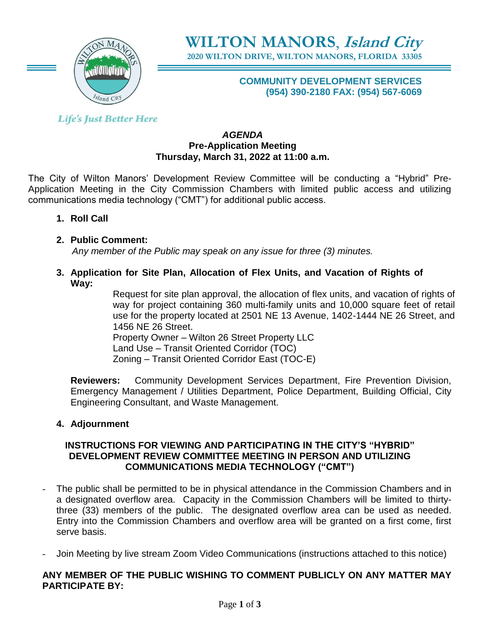

**WILTON MANORS**, **Island City 2020 WILTON DRIVE, WILTON MANORS, FLORIDA 33305**

## **COMMUNITY DEVELOPMENT SERVICES (954) 390-2180 FAX: (954) 567-6069**

**Life's Just Better Here** 

### *AGENDA* **Pre-Application Meeting Thursday, March 31, 2022 at 11:00 a.m.**

The City of Wilton Manors' Development Review Committee will be conducting a "Hybrid" Pre-Application Meeting in the City Commission Chambers with limited public access and utilizing communications media technology ("CMT") for additional public access.

- **1. Roll Call**
- **2. Public Comment:**   *Any member of the Public may speak on any issue for three (3) minutes.*
- **3. Application for Site Plan, Allocation of Flex Units, and Vacation of Rights of Way:**

Request for site plan approval, the allocation of flex units, and vacation of rights of way for project containing 360 multi-family units and 10,000 square feet of retail use for the property located at 2501 NE 13 Avenue, 1402-1444 NE 26 Street, and 1456 NE 26 Street.

Property Owner – Wilton 26 Street Property LLC Land Use – Transit Oriented Corridor (TOC)

Zoning – Transit Oriented Corridor East (TOC-E)

**Reviewers:** Community Development Services Department, Fire Prevention Division, Emergency Management / Utilities Department, Police Department, Building Official, City Engineering Consultant, and Waste Management.

# **4. Adjournment**

## **INSTRUCTIONS FOR VIEWING AND PARTICIPATING IN THE CITY'S "HYBRID" DEVELOPMENT REVIEW COMMITTEE MEETING IN PERSON AND UTILIZING COMMUNICATIONS MEDIA TECHNOLOGY ("CMT")**

- The public shall be permitted to be in physical attendance in the Commission Chambers and in a designated overflow area. Capacity in the Commission Chambers will be limited to thirtythree (33) members of the public. The designated overflow area can be used as needed. Entry into the Commission Chambers and overflow area will be granted on a first come, first serve basis.
- Join Meeting by live stream Zoom Video Communications (instructions attached to this notice)

## **ANY MEMBER OF THE PUBLIC WISHING TO COMMENT PUBLICLY ON ANY MATTER MAY PARTICIPATE BY:**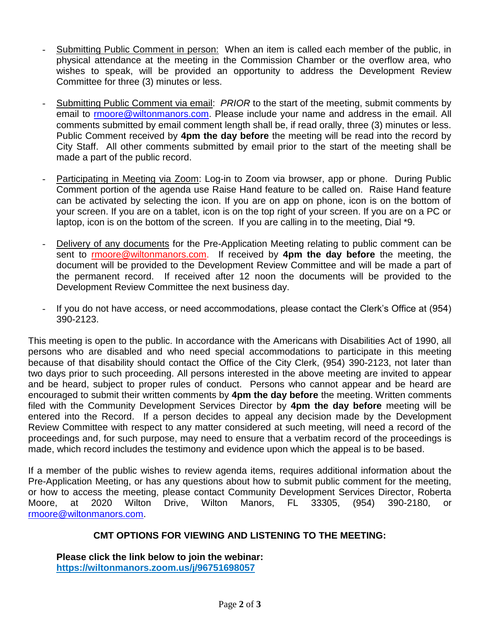- Submitting Public Comment in person: When an item is called each member of the public, in physical attendance at the meeting in the Commission Chamber or the overflow area, who wishes to speak, will be provided an opportunity to address the Development Review Committee for three (3) minutes or less.
- Submitting Public Comment via email: *PRIOR* to the start of the meeting, submit comments by email to [rmoore@wiltonmanors.com.](mailto:rmoore@wiltonmanors.com) Please include your name and address in the email. All comments submitted by email comment length shall be, if read orally, three (3) minutes or less. Public Comment received by **4pm the day before** the meeting will be read into the record by City Staff. All other comments submitted by email prior to the start of the meeting shall be made a part of the public record.
- Participating in Meeting via Zoom: Log-in to Zoom via browser, app or phone. During Public Comment portion of the agenda use Raise Hand feature to be called on. Raise Hand feature can be activated by selecting the icon. If you are on app on phone, icon is on the bottom of your screen. If you are on a tablet, icon is on the top right of your screen. If you are on a PC or laptop, icon is on the bottom of the screen. If you are calling in to the meeting, Dial \*9.
- Delivery of any documents for the Pre-Application Meeting relating to public comment can be sent to rmoor[e@wiltonmanors.com.](mailto:publiccomment@wiltonmanors.com) If received by **4pm the day before** the meeting, the document will be provided to the Development Review Committee and will be made a part of the permanent record. If received after 12 noon the documents will be provided to the Development Review Committee the next business day.
- If you do not have access, or need accommodations, please contact the Clerk's Office at (954) 390-2123.

This meeting is open to the public. In accordance with the Americans with Disabilities Act of 1990, all persons who are disabled and who need special accommodations to participate in this meeting because of that disability should contact the Office of the City Clerk, (954) 390-2123, not later than two days prior to such proceeding. All persons interested in the above meeting are invited to appear and be heard, subject to proper rules of conduct. Persons who cannot appear and be heard are encouraged to submit their written comments by **4pm the day before** the meeting. Written comments filed with the Community Development Services Director by **4pm the day before** meeting will be entered into the Record. If a person decides to appeal any decision made by the Development Review Committee with respect to any matter considered at such meeting, will need a record of the proceedings and, for such purpose, may need to ensure that a verbatim record of the proceedings is made, which record includes the testimony and evidence upon which the appeal is to be based.

If a member of the public wishes to review agenda items, requires additional information about the Pre-Application Meeting, or has any questions about how to submit public comment for the meeting, or how to access the meeting, please contact Community Development Services Director, Roberta Moore, at 2020 Wilton Drive, Wilton Manors, FL 33305, (954) 390-2180, or [rmoore@wiltonmanors.com.](mailto:rmoore@wiltonmanors.com)

## **CMT OPTIONS FOR VIEWING AND LISTENING TO THE MEETING:**

**Please click the link below to join the webinar: <https://wiltonmanors.zoom.us/j/96751698057>**